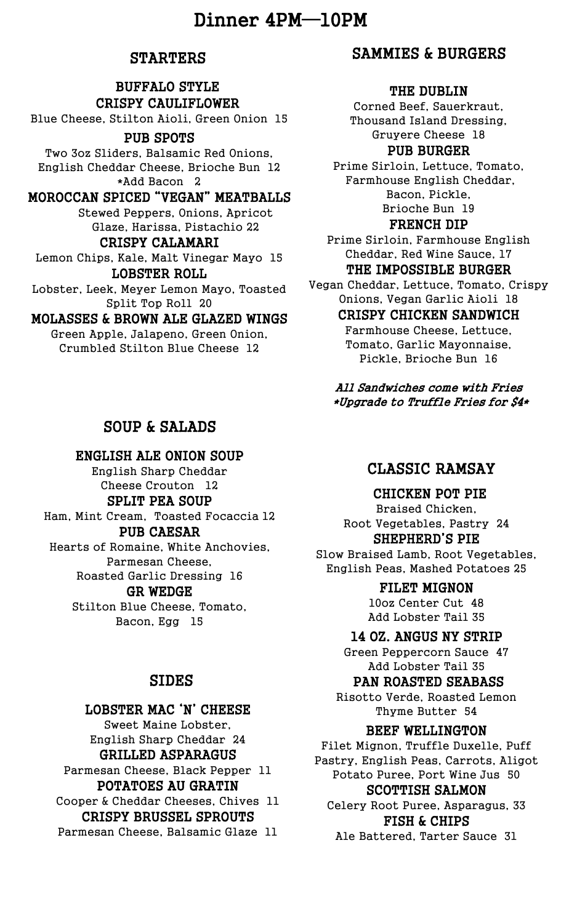# Dinner 4PM—10PM

## **STARTERS**

## BUFFALO STYLE CRISPY CAULIFLOWER

Blue Cheese, Stilton Aioli, Green Onion 15

## PUB SPOTS

Two 3oz Sliders, Balsamic Red Onions, English Cheddar Cheese, Brioche Bun 12 \*Add Bacon 2

## MOROCCAN SPICED "VEGAN" MEATBALLS

Stewed Peppers, Onions, Apricot Glaze, Harissa, Pistachio 22

#### CRISPY CALAMARI Lemon Chips, Kale, Malt Vinegar Mayo 15 LOBSTER ROLL

Lobster, Leek, Meyer Lemon Mayo, Toasted Split Top Roll 20

### MOLASSES & BROWN ALE GLAZED WINGS

Green Apple, Jalapeno, Green Onion, Crumbled Stilton Blue Cheese 12

## SOUP & SALADS

## ENGLISH ALE ONION SOUP

English Sharp Cheddar Cheese Crouton 12

## SPLIT PEA SOUP

Ham, Mint Cream, Toasted Focaccia 12

## PUB CAESAR

Hearts of Romaine, White Anchovies, Parmesan Cheese, Roasted Garlic Dressing 16

#### GR WEDGE

Stilton Blue Cheese, Tomato, Bacon, Egg 15

## SIDES

#### LOBSTER MAC 'N' CHEESE

Sweet Maine Lobster, English Sharp Cheddar 24 GRILLED ASPARAGUS Parmesan Cheese, Black Pepper 11 POTATOES AU GRATIN Cooper & Cheddar Cheeses, Chives 11 CRISPY BRUSSEL SPROUTS

Parmesan Cheese, Balsamic Glaze 11

## SAMMIES & BURGERS

#### THE DUBLIN

Corned Beef, Sauerkraut, Thousand Island Dressing, Gruyere Cheese 18

#### PUB BURGER

Prime Sirloin, Lettuce, Tomato, Farmhouse English Cheddar, Bacon, Pickle, Brioche Bun 19

### FRENCH DIP

Prime Sirloin, Farmhouse English Cheddar, Red Wine Sauce, 17 THE IMPOSSIBLE BURGER

Vegan Cheddar, Lettuce, Tomato, Crispy Onions, Vegan Garlic Aioli 18

## CRISPY CHICKEN SANDWICH

Farmhouse Cheese, Lettuce, Tomato, Garlic Mayonnaise, Pickle, Brioche Bun 16

All Sandwiches come with Fries \*Upgrade to Truffle Fries for \$4\*

## CLASSIC RAMSAY

## CHICKEN POT PIE

Braised Chicken, Root Vegetables, Pastry 24 SHEPHERD'S PIE

Slow Braised Lamb, Root Vegetables, English Peas, Mashed Potatoes 25

### FILET MIGNON

10oz Center Cut 48 Add Lobster Tail 35

### 14 OZ. ANGUS NY STRIP

Green Peppercorn Sauce 47 Add Lobster Tail 35

### PAN ROASTED SEABASS

Risotto Verde, Roasted Lemon Thyme Butter 54

## BEEF WELLINGTON

Filet Mignon, Truffle Duxelle, Puff Pastry, English Peas, Carrots, Aligot Potato Puree, Port Wine Jus 50 SCOTTISH SALMON Celery Root Puree, Asparagus, 33 FISH & CHIPS

Ale Battered, Tarter Sauce 31